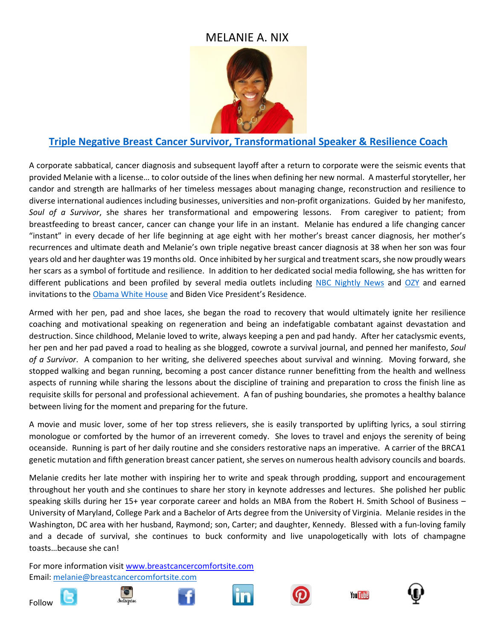

## **[Triple Negative Breast Cancer Survivor, Transformational Speaker & Resilience Coach](https://vimeo.com/351235085)**

A corporate sabbatical, cancer diagnosis and subsequent layoff after a return to corporate were the seismic events that provided Melanie with a license… to color outside of the lines when defining her new normal. A masterful storyteller, her candor and strength are hallmarks of her timeless messages about managing change, reconstruction and resilience to diverse international audiences including businesses, universities and non-profit organizations. Guided by her manifesto, *Soul of a Survivor*, she shares her transformational and empowering lessons. From caregiver to patient; from breastfeeding to breast cancer, cancer can change your life in an instant. Melanie has endured a life changing cancer "instant" in every decade of her life beginning at age eight with her mother's breast cancer diagnosis, her mother's recurrences and ultimate death and Melanie's own triple negative breast cancer diagnosis at 38 when her son was four years old and her daughter was 19 months old. Once inhibited by her surgical and treatment scars, she now proudly wears her scars as a symbol of fortitude and resilience. In addition to her dedicated social media following, she has written for different publications and been profiled by several media outlets including [NBC Nightly News](http://www.nbcnews.com/video/nightly-news/33519929#33519929) and [OZY](http://www.ozy.com/acumen/breast-cancers-color-divide/68964) and earned invitations to th[e Obama White House](https://www.facebook.com/video.php?v=10153183400219238) and Biden Vice President's Residence.

Armed with her pen, pad and shoe laces, she began the road to recovery that would ultimately ignite her resilience coaching and motivational speaking on regeneration and being an indefatigable combatant against devastation and destruction. Since childhood, Melanie loved to write, always keeping a pen and pad handy. After her cataclysmic events, her pen and her pad paved a road to healing as she blogged, cowrote a survival journal, and penned her manifesto, *Soul of a Survivor*. A companion to her writing, she delivered speeches about survival and winning. Moving forward, she stopped walking and began running, becoming a post cancer distance runner benefitting from the health and wellness aspects of running while sharing the lessons about the discipline of training and preparation to cross the finish line as requisite skills for personal and professional achievement. A fan of pushing boundaries, she promotes a healthy balance between living for the moment and preparing for the future.

A movie and music lover, some of her top stress relievers, she is easily transported by uplifting lyrics, a soul stirring monologue or comforted by the humor of an irreverent comedy. She loves to travel and enjoys the serenity of being oceanside. Running is part of her daily routine and she considers restorative naps an imperative. A carrier of the BRCA1 genetic mutation and fifth generation breast cancer patient, she serves on numerous health advisory councils and boards.

Melanie credits her late mother with inspiring her to write and speak through prodding, support and encouragement throughout her youth and she continues to share her story in keynote addresses and lectures. She polished her public speaking skills during her 15+ year corporate career and holds an MBA from the Robert H. Smith School of Business – University of Maryland, College Park and a Bachelor of Arts degree from the University of Virginia. Melanie resides in the Washington, DC area with her husband, Raymond; son, Carter; and daughter, Kennedy. Blessed with a fun-loving family and a decade of survival, she continues to buck conformity and live unapologetically with lots of champagne toasts…because she can!

For more information visi[t www.breastcancercomfortsite.com](http://www.breastcancercomfortsite.com/) Email: [melanie@breastcancercomfortsite.com](mailto:melanie@breastcancercomfortsite.com)













**You Tube** 

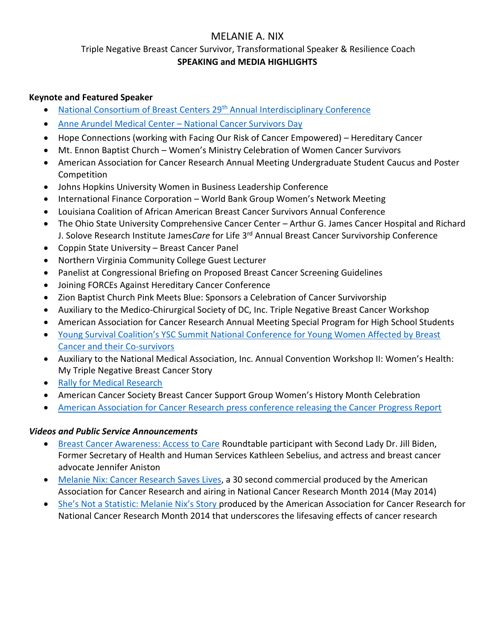Triple Negative Breast Cancer Survivor, Transformational Speaker & Resilience Coach **SPEAKING and MEDIA HIGHLIGHTS**

### **Keynote and Featured Speaker**

- [National Consortium of Breast Centers 29](https://www2.breastcare.org/pdfs/NCoBC_2019_brochure.pdf)th Annual Interdisciplinary Conference
- [Anne Arundel Medical Center](https://www.facebook.com/watch/?v=10156335933639844)  National Cancer Survivors Day
- Hope Connections (working with Facing Our Risk of Cancer Empowered) Hereditary Cancer
- Mt. Ennon Baptist Church Women's Ministry Celebration of Women Cancer Survivors
- American Association for Cancer Research Annual Meeting Undergraduate Student Caucus and Poster Competition
- Johns Hopkins University Women in Business Leadership Conference
- International Finance Corporation World Bank Group Women's Network Meeting
- Louisiana Coalition of African American Breast Cancer Survivors Annual Conference
- The Ohio State University Comprehensive Cancer Center Arthur G. James Cancer Hospital and Richard J. Solove Research Institute James*Care* for Life 3rd Annual Breast Cancer Survivorship Conference
- Coppin State University Breast Cancer Panel
- Northern Virginia Community College Guest Lecturer
- Panelist at Congressional Briefing on Proposed Breast Cancer Screening Guidelines
- Joining FORCEs Against Hereditary Cancer Conference
- Zion Baptist Church Pink Meets Blue: Sponsors a Celebration of Cancer Survivorship
- Auxiliary to the Medico-Chirurgical Society of DC, Inc. Triple Negative Breast Cancer Workshop
- American Association for Cancer Research Annual Meeting Special Program for High School Students
- [Young Survival Coalition's YSC Summit National Conference for Young Women Affected by Breast](https://www.youtube.com/watch?list=PLWo_SAuUiK_N1V9Z-vkzSg1pGp4xaWTd_&v=TkSt6YMhlWs)  [Cancer and their Co-survivors](https://www.youtube.com/watch?list=PLWo_SAuUiK_N1V9Z-vkzSg1pGp4xaWTd_&v=TkSt6YMhlWs)
- Auxiliary to the National Medical Association, Inc. Annual Convention Workshop II: Women's Health: My Triple Negative Breast Cancer Story
- [Rally for Medical Research](https://www.youtube.com/watch?feature=player_embedded&v=Y23FFtBWzdY#t=4676)
- American Cancer Society Breast Cancer Support Group Women's History Month Celebration
- [American Association for Cancer Research press conference releasing the Cancer Progress Report](http://webcast.aacr.org/console/player/18369?mediaType=slideVideo)

### *Videos and Public Service Announcements*

- [Breast Cancer Awareness: Access to Care](https://youtu.be/8HiMKgaT_3I) Roundtable participant with Second Lady Dr. Jill Biden, Former Secretary of Health and Human Services Kathleen Sebelius, and actress and breast cancer advocate Jennifer Aniston
- [Melanie Nix: Cancer Research Saves Lives,](https://youtu.be/O8DNkAO6v4M) a 30 second commercial produced by the American Association for Cancer Research and airing in National Cancer Research Month 2014 (May 2014)
- [She's Not a Statistic: Melanie Nix's Story](https://youtu.be/FlWEqJxGO7w) produced by the American Association for Cancer Research for National Cancer Research Month 2014 that underscores the lifesaving effects of cancer research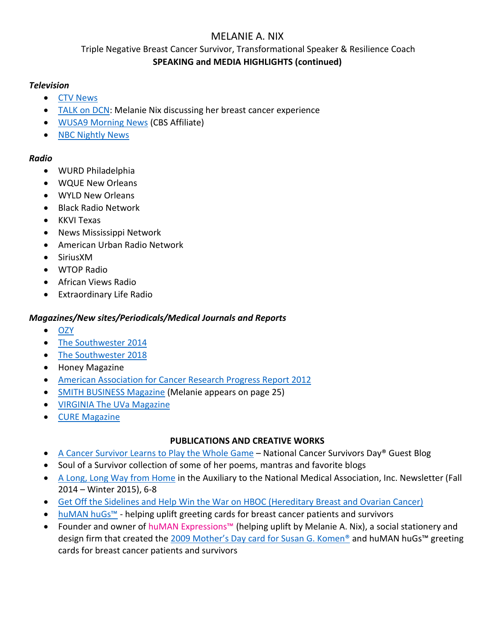Triple Negative Breast Cancer Survivor, Transformational Speaker & Resilience Coach **SPEAKING and MEDIA HIGHLIGHTS (continued)**

#### *Television*

- [CTV News](https://youtu.be/3CIqudugozo?t=251)
- [TALK on DCN:](https://www.youtube.com/watch?v=xk8pExn5jek) Melanie Nix discussing her breast cancer experience
- [WUSA9 Morning News](https://vimeo.com/12194414) (CBS Affiliate)
- [NBC Nightly News](http://www.nbcnews.com/video/nightly-news/33519929#33519929)

#### *Radio*

- WURD Philadelphia
- WQUE New Orleans
- WYLD New Orleans
- Black Radio Network
- KKVI Texas
- News Mississippi Network
- American Urban Radio Network
- SiriusXM
- WTOP Radio
- African Views Radio
- Extraordinary Life Radio

### *Magazines/New sites/Periodicals/Medical Journals and Reports*

- [OZY](http://www.ozy.com/acumen/breast-cancers-color-divide/68964)
- [The Southwester](http://thesouthwester.com/2014/03/14/sw-breast-cancer-support-group-to-hold-womens-history-month-celebration/) 2014
- [The Southwester 2018](http://thesouthwester.com/2018/02/01/thelma-d-jones-breast-cancer-fund-support-group-holiday-meeting/)
- Honey Magazine
- [American Association for Cancer Research Progress Report 2012](http://www.cancerprogressreport-digital.org/cancerprogressreport/2012?pg=42#pg42)
- [SMITH BUSINESS Magazine](https://www.rhsmith.umd.edu/files/Documents/News/2014/sbfall2014.compressed.pdf) (Melanie appears on page 25)
- [VIRGINIA The UVa Magazine](https://www2.alumni.virginia.edu/ClassNotes/PersonHistory.aspx?personId=14037)
- [CURE Magazine](http://www.curetoday.com/cure-tv/melanie-a-nix-discusses-the-spectrum-of-advocacy)

#### **PUBLICATIONS AND CREATIVE WORKS**

- [A Cancer Survivor Learns to Play the Whole Game](https://www.ncsd.org/posts/a-cancer-survivor-learns-to-play-the-whole-game) National Cancer Survivors Day® Guest Blog
- Soul of a Survivor collection of some of her poems, mantras and favorite blogs
- [A Long, Long Way from Home](http://www.anmanet.org/images/anma%202014-15%20newsletter%20fall%20winter%20edition%202.pdf) in the Auxiliary to the National Medical Association, Inc. Newsletter (Fall 2014 – Winter 2015), 6-8
- [Get Off the Sidelines and Help Win the War on HBOC \(Hereditary Breast and Ovarian Cancer\)](http://www.facingourrisk.org/understanding-brca-and-hboc/publications/newsletter/archives/2014fall/voices-of-FORCE1.php)
- [huMAN huGs™](https://www.facebook.com/pg/huMANExpressions/photos/?tab=album&album_id=137885381801) helping uplift greeting cards for breast cancer patients and survivors
- Founder and owner of [huMAN Expressions™](http://www.human-expressions.com/) (helping uplift by Melanie A. Nix), a social stationery and design firm that created the [2009 Mother's Day card for Susan G. Komen®](https://www.facebook.com/pg/huMANExpressions/photos/?tab=album&album_id=137913256801) and huMAN huGs™ greeting cards for breast cancer patients and survivors